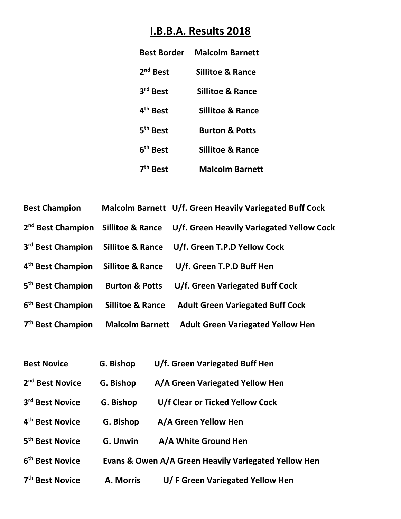## **I.B.B.A. Results 2018**

| <b>Best Border</b>   | <b>Malcolm Barnett</b>      |
|----------------------|-----------------------------|
| $2nd$ Best           | <b>Sillitoe &amp; Rance</b> |
| 3rd Best             | <b>Sillitoe &amp; Rance</b> |
| 4 <sup>th</sup> Best | <b>Sillitoe &amp; Rance</b> |
| 5 <sup>th</sup> Best | <b>Burton &amp; Potts</b>   |
| 6 <sup>th</sup> Best | <b>Sillitoe &amp; Rance</b> |
| 7 <sup>th</sup> Best | <b>Malcolm Barnett</b>      |

| <b>Best Champion</b>          |                             | Malcolm Barnett U/f. Green Heavily Variegated Buff Cock    |
|-------------------------------|-----------------------------|------------------------------------------------------------|
| 2 <sup>nd</sup> Best Champion |                             | Sillitoe & Rance U/f. Green Heavily Variegated Yellow Cock |
| 3 <sup>rd</sup> Best Champion | <b>Sillitoe &amp; Rance</b> | U/f. Green T.P.D Yellow Cock                               |
| 4 <sup>th</sup> Best Champion | <b>Sillitoe &amp; Rance</b> | U/f. Green T.P.D Buff Hen                                  |
| 5 <sup>th</sup> Best Champion | <b>Burton &amp; Potts</b>   | U/f. Green Variegated Buff Cock                            |
| 6 <sup>th</sup> Best Champion | <b>Sillitoe &amp; Rance</b> | <b>Adult Green Variegated Buff Cock</b>                    |
| 7 <sup>th</sup> Best Champion | <b>Malcolm Barnett</b>      | <b>Adult Green Variegated Yellow Hen</b>                   |

| <b>Best Novice</b>          | G. Bishop | U/f. Green Variegated Buff Hen                       |
|-----------------------------|-----------|------------------------------------------------------|
| 2 <sup>nd</sup> Best Novice | G. Bishop | A/A Green Variegated Yellow Hen                      |
| 3 <sup>rd</sup> Best Novice | G. Bishop | U/f Clear or Ticked Yellow Cock                      |
| 4 <sup>th</sup> Best Novice | G. Bishop | A/A Green Yellow Hen                                 |
| 5 <sup>th</sup> Best Novice | G. Unwin  | A/A White Ground Hen                                 |
| 6 <sup>th</sup> Best Novice |           | Evans & Owen A/A Green Heavily Variegated Yellow Hen |
| 7 <sup>th</sup> Best Novice | A. Morris | U/F Green Variegated Yellow Hen                      |